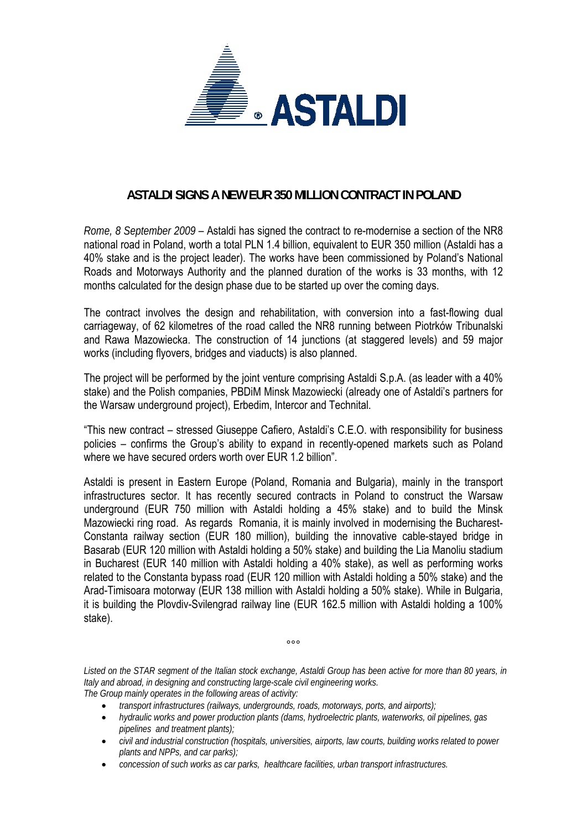

## **ASTALDI SIGNS A NEW EUR 350 MILLION CONTRACT IN POLAND**

*Rome, 8 September 2009* – Astaldi has signed the contract to re-modernise a section of the NR8 national road in Poland, worth a total PLN 1.4 billion, equivalent to EUR 350 million (Astaldi has a 40% stake and is the project leader). The works have been commissioned by Poland's National Roads and Motorways Authority and the planned duration of the works is 33 months, with 12 months calculated for the design phase due to be started up over the coming days.

The contract involves the design and rehabilitation, with conversion into a fast-flowing dual carriageway, of 62 kilometres of the road called the NR8 running between Piotrkόw Tribunalski and Rawa Mazowiecka. The construction of 14 junctions (at staggered levels) and 59 major works (including flyovers, bridges and viaducts) is also planned.

The project will be performed by the joint venture comprising Astaldi S.p.A. (as leader with a 40% stake) and the Polish companies, PBDiM Minsk Mazowiecki (already one of Astaldi's partners for the Warsaw underground project), Erbedim, Intercor and Technital.

"This new contract – stressed Giuseppe Cafiero, Astaldi's C.E.O. with responsibility for business policies – confirms the Group's ability to expand in recently-opened markets such as Poland where we have secured orders worth over EUR 1.2 billion".

Astaldi is present in Eastern Europe (Poland, Romania and Bulgaria), mainly in the transport infrastructures sector. It has recently secured contracts in Poland to construct the Warsaw underground (EUR 750 million with Astaldi holding a 45% stake) and to build the Minsk Mazowiecki ring road. As regards Romania, it is mainly involved in modernising the Bucharest-Constanta railway section (EUR 180 million), building the innovative cable-stayed bridge in Basarab (EUR 120 million with Astaldi holding a 50% stake) and building the Lia Manoliu stadium in Bucharest (EUR 140 million with Astaldi holding a 40% stake), as well as performing works related to the Constanta bypass road (EUR 120 million with Astaldi holding a 50% stake) and the Arad-Timisoara motorway (EUR 138 million with Astaldi holding a 50% stake). While in Bulgaria, it is building the Plovdiv-Svilengrad railway line (EUR 162.5 million with Astaldi holding a 100% stake).

*Listed on the STAR segment of the Italian stock exchange, Astaldi Group has been active for more than 80 years, in Italy and abroad, in designing and constructing large-scale civil engineering works. The Group mainly operates in the following areas of activity:* 

 $000$ 

- *transport infrastructures (railways, undergrounds, roads, motorways, ports, and airports);*
- *hydraulic works and power production plants (dams, hydroelectric plants, waterworks, oil pipelines, gas pipelines and treatment plants);*
- *civil and industrial construction (hospitals, universities, airports, law courts, building works related to power plants and NPPs, and car parks);*
- *concession of such works as car parks, healthcare facilities, urban transport infrastructures.*